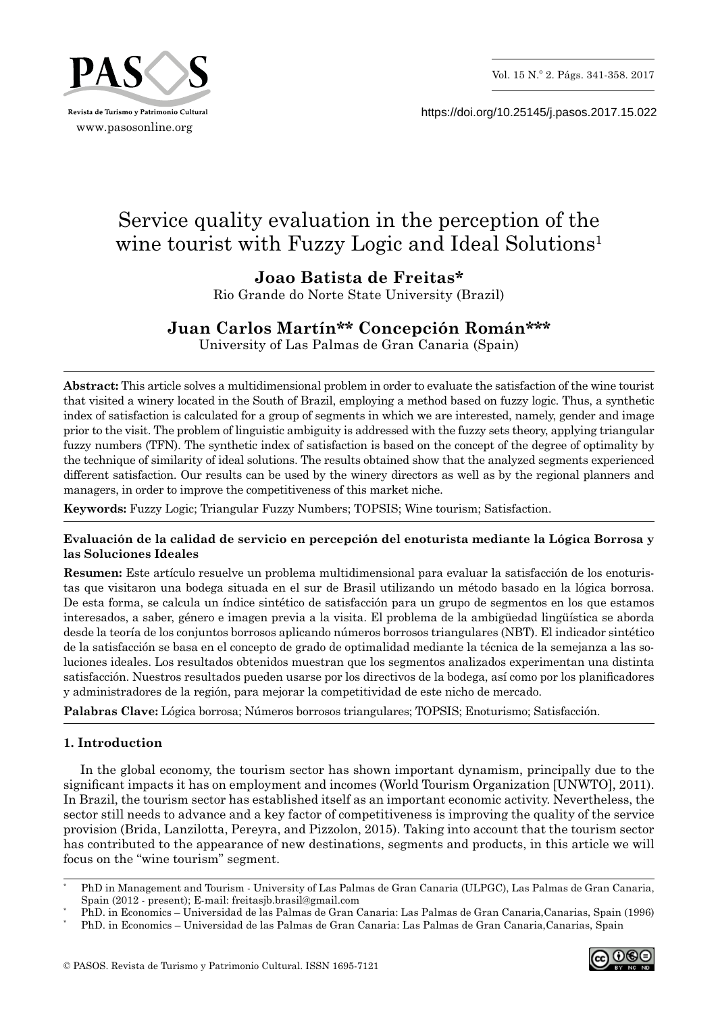

https://doi.org/10.25145/j.pasos.2017.15.022

# Service quality evaluation in the perception of the wine tourist with Fuzzy Logic and Ideal Solutions<sup>1</sup>

## **Joao Batista de Freitas\***

Rio Grande do Norte State University (Brazil)

## **Juan Carlos Martín\*\* Concepción Román\*\*\***

University of Las Palmas de Gran Canaria (Spain)

**Abstract:** This article solves a multidimensional problem in order to evaluate the satisfaction of the wine tourist that visited a winery located in the South of Brazil, employing a method based on fuzzy logic. Thus, a synthetic index of satisfaction is calculated for a group of segments in which we are interested, namely, gender and image prior to the visit. The problem of linguistic ambiguity is addressed with the fuzzy sets theory, applying triangular fuzzy numbers (TFN). The synthetic index of satisfaction is based on the concept of the degree of optimality by the technique of similarity of ideal solutions. The results obtained show that the analyzed segments experienced different satisfaction. Our results can be used by the winery directors as well as by the regional planners and managers, in order to improve the competitiveness of this market niche.

**Keywords:** Fuzzy Logic; Triangular Fuzzy Numbers; TOPSIS; Wine tourism; Satisfaction.

## **Evaluación de la calidad de servicio en percepción del enoturista mediante la Lógica Borrosa y las Soluciones Ideales**

**Resumen:** Este artículo resuelve un problema multidimensional para evaluar la satisfacción de los enoturis‑ tas que visitaron una bodega situada en el sur de Brasil utilizando un método basado en la lógica borrosa. De esta forma, se calcula un índice sintético de satisfacción para un grupo de segmentos en los que estamos interesados, a saber, género e imagen previa a la visita. El problema de la ambigüedad lingüística se aborda desde la teoría de los conjuntos borrosos aplicando números borrosos triangulares (NBT). El indicador sintético de la satisfacción se basa en el concepto de grado de optimalidad mediante la técnica de la semejanza a las soluciones ideales. Los resultados obtenidos muestran que los segmentos analizados experimentan una distinta satisfacción. Nuestros resultados pueden usarse por los directivos de la bodega, así como por los planificadores y administradores de la región, para mejorar la competitividad de este nicho de mercado.

**Palabras Clave:** Lógica borrosa; Números borrosos triangulares; TOPSIS; Enoturismo; Satisfacción.

## **1. Introduction**

In the global economy, the tourism sector has shown important dynamism, principally due to the significant impacts it has on employment and incomes (World Tourism Organization [UNWTO], 2011). In Brazil, the tourism sector has established itself as an important economic activity. Nevertheless, the sector still needs to advance and a key factor of competitiveness is improving the quality of the service provision (Brida, Lanzilotta, Pereyra, and Pizzolon, 2015). Taking into account that the tourism sector has contributed to the appearance of new destinations, segments and products, in this article we will focus on the "wine tourism" segment.



<sup>\*</sup> PhD in Management and Tourism - University of Las Palmas de Gran Canaria (ULPGC), Las Palmas de Gran Canaria, Spain (2012 - present); E-mail: freitasjb.brasil@gmail.com

<sup>\*</sup> PhD. in Economics – Universidad de las Palmas de Gran Canaria: Las Palmas de Gran Canaria,Canarias, Spain (1996)

<sup>\*</sup> PhD. in Economics – Universidad de las Palmas de Gran Canaria: Las Palmas de Gran Canaria,Canarias, Spain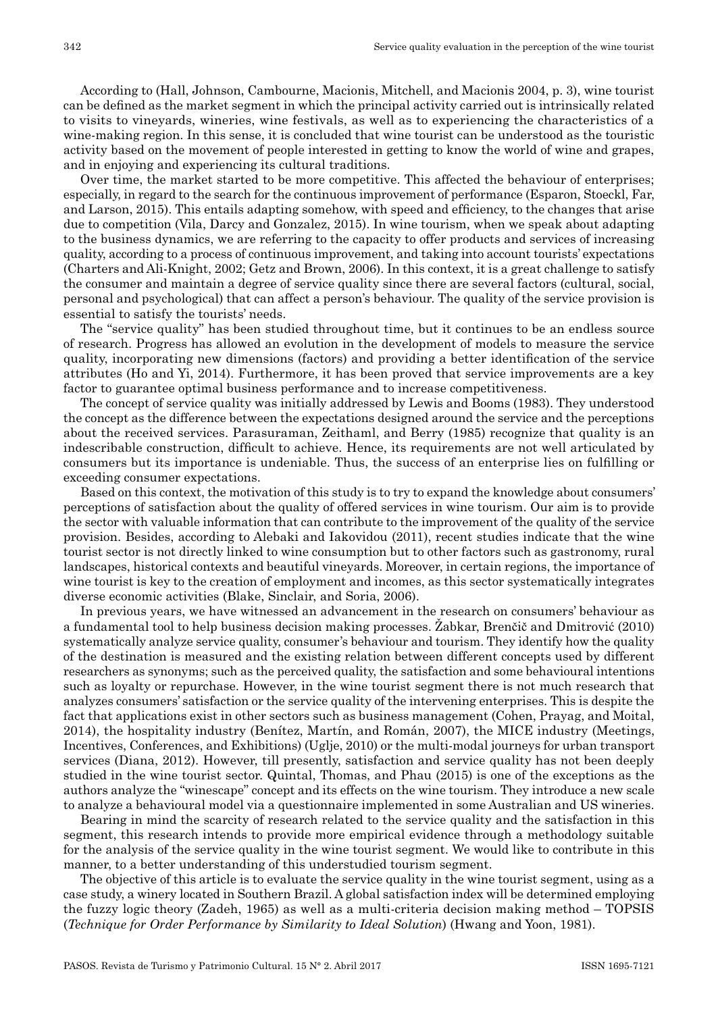According to (Hall, Johnson, Cambourne, Macionis, Mitchell, and Macionis 2004, p. 3), wine tourist can be defined as the market segment in which the principal activity carried out is intrinsically related to visits to vineyards, wineries, wine festivals, as well as to experiencing the characteristics of a wine-making region. In this sense, it is concluded that wine tourist can be understood as the touristic activity based on the movement of people interested in getting to know the world of wine and grapes, and in enjoying and experiencing its cultural traditions.

Over time, the market started to be more competitive. This affected the behaviour of enterprises; especially, in regard to the search for the continuous improvement of performance (Esparon, Stoeckl, Far, and Larson, 2015). This entails adapting somehow, with speed and efficiency, to the changes that arise due to competition (Vila, Darcy and Gonzalez, 2015). In wine tourism, when we speak about adapting to the business dynamics, we are referring to the capacity to offer products and services of increasing quality, according to a process of continuous improvement, and taking into account tourists' expectations (Charters and Ali-Knight, 2002; Getz and Brown, 2006). In this context, it is a great challenge to satisfy the consumer and maintain a degree of service quality since there are several factors (cultural, social, personal and psychological) that can affect a person's behaviour. The quality of the service provision is essential to satisfy the tourists' needs.

The "service quality" has been studied throughout time, but it continues to be an endless source of research. Progress has allowed an evolution in the development of models to measure the service quality, incorporating new dimensions (factors) and providing a better identification of the service attributes (Ho and Yi, 2014). Furthermore, it has been proved that service improvements are a key factor to guarantee optimal business performance and to increase competitiveness.

The concept of service quality was initially addressed by Lewis and Booms (1983). They understood the concept as the difference between the expectations designed around the service and the perceptions about the received services. Parasuraman, Zeithaml, and Berry (1985) recognize that quality is an indescribable construction, difficult to achieve. Hence, its requirements are not well articulated by consumers but its importance is undeniable. Thus, the success of an enterprise lies on fulfilling or exceeding consumer expectations.

Based on this context, the motivation of this study is to try to expand the knowledge about consumers' perceptions of satisfaction about the quality of offered services in wine tourism. Our aim is to provide the sector with valuable information that can contribute to the improvement of the quality of the service provision. Besides, according to Alebaki and Iakovidou (2011), recent studies indicate that the wine tourist sector is not directly linked to wine consumption but to other factors such as gastronomy, rural landscapes, historical contexts and beautiful vineyards. Moreover, in certain regions, the importance of wine tourist is key to the creation of employment and incomes, as this sector systematically integrates diverse economic activities (Blake, Sinclair, and Soria, 2006).

In previous years, we have witnessed an advancement in the research on consumers' behaviour as a fundamental tool to help business decision making processes. Žabkar, Brenčič and Dmitrović (2010) systematically analyze service quality, consumer's behaviour and tourism. They identify how the quality of the destination is measured and the existing relation between different concepts used by different researchers as synonyms; such as the perceived quality, the satisfaction and some behavioural intentions such as loyalty or repurchase. However, in the wine tourist segment there is not much research that analyzes consumers' satisfaction or the service quality of the intervening enterprises. This is despite the fact that applications exist in other sectors such as business management (Cohen, Prayag, and Moital, 2014), the hospitality industry (Benítez, Martín, and Román, 2007), the MICE industry (Meetings, Incentives, Conferences, and Exhibitions) (Uglje, 2010) or the multi-modal journeys for urban transport services (Diana, 2012). However, till presently, satisfaction and service quality has not been deeply studied in the wine tourist sector. Quintal, Thomas, and Phau (2015) is one of the exceptions as the authors analyze the "winescape" concept and its effects on the wine tourism. They introduce a new scale to analyze a behavioural model via a questionnaire implemented in some Australian and US wineries.

Bearing in mind the scarcity of research related to the service quality and the satisfaction in this segment, this research intends to provide more empirical evidence through a methodology suitable for the analysis of the service quality in the wine tourist segment. We would like to contribute in this manner, to a better understanding of this understudied tourism segment.

The objective of this article is to evaluate the service quality in the wine tourist segment, using as a case study, a winery located in Southern Brazil. A global satisfaction index will be determined employing the fuzzy logic theory (Zadeh, 1965) as well as a multi-criteria decision making method – TOPSIS (*Technique for Order Performance by Similarity to Ideal Solution*) (Hwang and Yoon, 1981).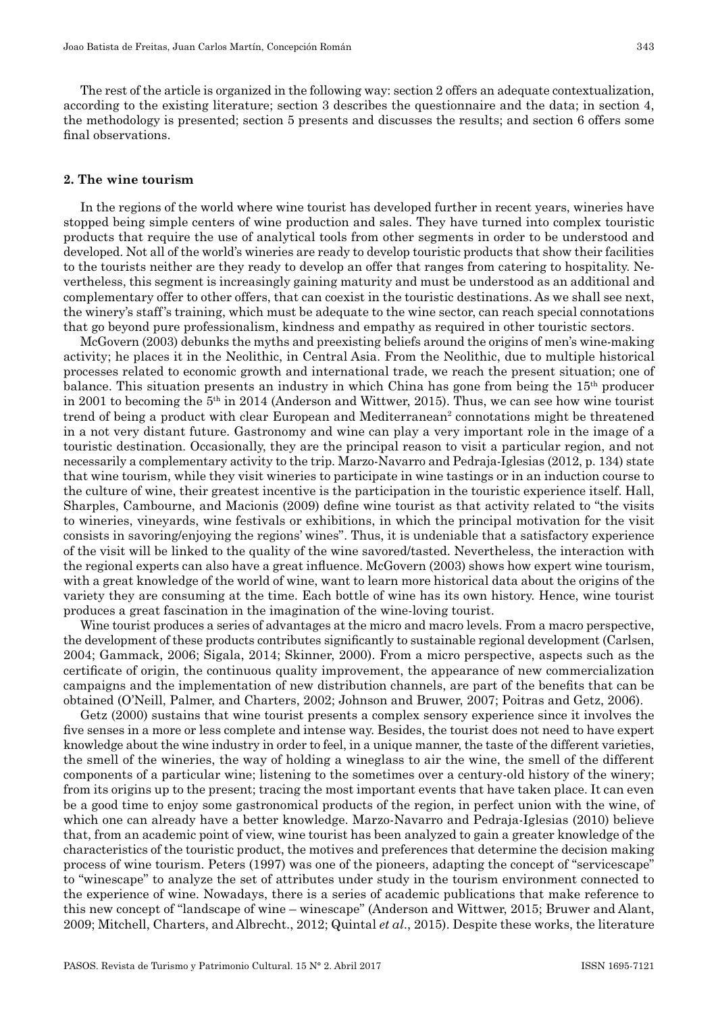The rest of the article is organized in the following way: section 2 offers an adequate contextualization, according to the existing literature; section 3 describes the questionnaire and the data; in section 4, the methodology is presented; section 5 presents and discusses the results; and section 6 offers some final observations.

#### **2. The wine tourism**

In the regions of the world where wine tourist has developed further in recent years, wineries have stopped being simple centers of wine production and sales. They have turned into complex touristic products that require the use of analytical tools from other segments in order to be understood and developed. Not all of the world's wineries are ready to develop touristic products that show their facilities to the tourists neither are they ready to develop an offer that ranges from catering to hospitality. Ne– vertheless, this segment is increasingly gaining maturity and must be understood as an additional and complementary offer to other offers, that can coexist in the touristic destinations. As we shall see next, the winery's staff's training, which must be adequate to the wine sector, can reach special connotations that go beyond pure professionalism, kindness and empathy as required in other touristic sectors.

McGovern (2003) debunks the myths and preexisting beliefs around the origins of men's wine-making activity; he places it in the Neolithic, in Central Asia. From the Neolithic, due to multiple historical processes related to economic growth and international trade, we reach the present situation; one of balance. This situation presents an industry in which China has gone from being the 15th producer in 2001 to becoming the  $5<sup>th</sup>$  in 2014 (Anderson and Wittwer, 2015). Thus, we can see how wine tourist trend of being a product with clear European and Mediterranean<sup>2</sup> connotations might be threatened in a not very distant future. Gastronomy and wine can play a very important role in the image of a touristic destination. Occasionally, they are the principal reason to visit a particular region, and not necessarily a complementary activity to the trip. Marzo-Navarro and Pedraja-Iglesias (2012, p. 134) state that wine tourism, while they visit wineries to participate in wine tastings or in an induction course to the culture of wine, their greatest incentive is the participation in the touristic experience itself. Hall, Sharples, Cambourne, and Macionis (2009) define wine tourist as that activity related to "the visits to wineries, vineyards, wine festivals or exhibitions, in which the principal motivation for the visit consists in savoring/enjoying the regions' wines". Thus, it is undeniable that a satisfactory experience of the visit will be linked to the quality of the wine savored/tasted. Nevertheless, the interaction with the regional experts can also have a great influence. McGovern (2003) shows how expert wine tourism, with a great knowledge of the world of wine, want to learn more historical data about the origins of the variety they are consuming at the time. Each bottle of wine has its own history. Hence, wine tourist produces a great fascination in the imagination of the wine-loving tourist.

Wine tourist produces a series of advantages at the micro and macro levels. From a macro perspective, the development of these products contributes significantly to sustainable regional development (Carlsen, 2004; Gammack, 2006; Sigala, 2014; Skinner, 2000). From a micro perspective, aspects such as the certificate of origin, the continuous quality improvement, the appearance of new commercialization campaigns and the implementation of new distribution channels, are part of the benefits that can be obtained (O'Neill, Palmer, and Charters, 2002; Johnson and Bruwer, 2007; Poitras and Getz, 2006).

Getz (2000) sustains that wine tourist presents a complex sensory experience since it involves the five senses in a more or less complete and intense way. Besides, the tourist does not need to have expert knowledge about the wine industry in order to feel, in a unique manner, the taste of the different varieties, the smell of the wineries, the way of holding a wineglass to air the wine, the smell of the different components of a particular wine; listening to the sometimes over a century-old history of the winery; from its origins up to the present; tracing the most important events that have taken place. It can even be a good time to enjoy some gastronomical products of the region, in perfect union with the wine, of which one can already have a better knowledge. Marzo-Navarro and Pedraja-Iglesias (2010) believe that, from an academic point of view, wine tourist has been analyzed to gain a greater knowledge of the characteristics of the touristic product, the motives and preferences that determine the decision making process of wine tourism. Peters (1997) was one of the pioneers, adapting the concept of "servicescape" to "winescape" to analyze the set of attributes under study in the tourism environment connected to the experience of wine. Nowadays, there is a series of academic publications that make reference to this new concept of "landscape of wine – winescape" (Anderson and Wittwer, 2015; Bruwer and Alant, 2009; Mitchell, Charters, and Albrecht., 2012; Quintal *et al*., 2015). Despite these works, the literature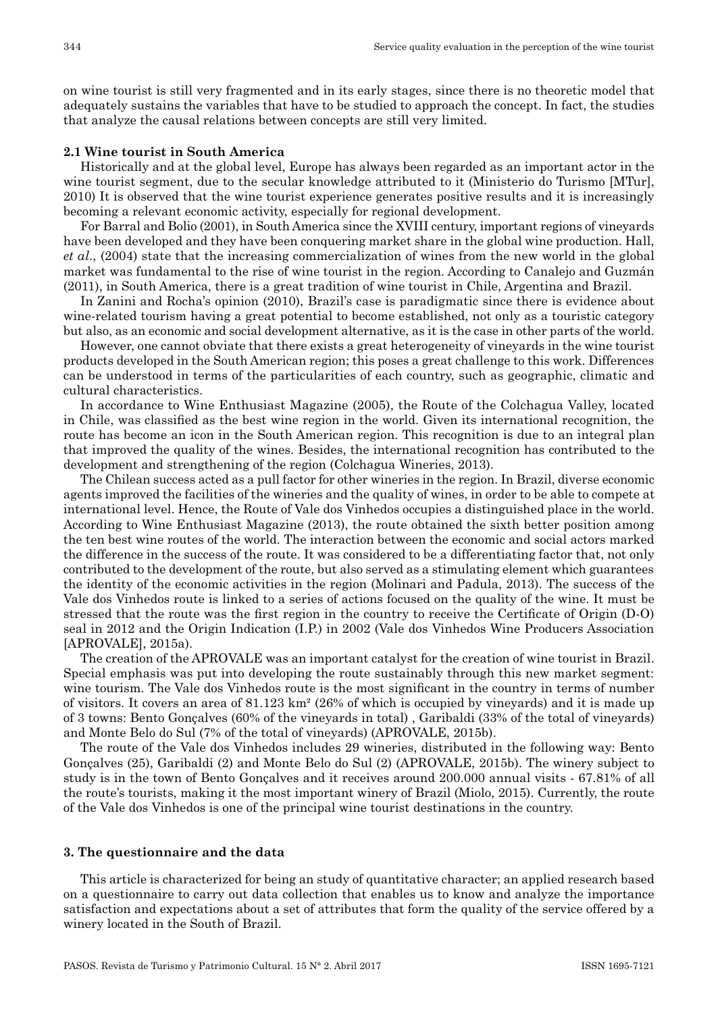on wine tourist is still very fragmented and in its early stages, since there is no theoretic model that adequately sustains the variables that have to be studied to approach the concept. In fact, the studies that analyze the causal relations between concepts are still very limited.

## **2.1 Wine tourist in South America**

Historically and at the global level, Europe has always been regarded as an important actor in the wine tourist segment, due to the secular knowledge attributed to it (Ministerio do Turismo [MTur], 2010) It is observed that the wine tourist experience generates positive results and it is increasingly becoming a relevant economic activity, especially for regional development.

For Barral and Bolio (2001), in South America since the XVIII century, important regions of vineyards have been developed and they have been conquering market share in the global wine production. Hall, *et al*., (2004) state that the increasing commercialization of wines from the new world in the global market was fundamental to the rise of wine tourist in the region. According to Canalejo and Guzmán (2011), in South America, there is a great tradition of wine tourist in Chile, Argentina and Brazil.

In Zanini and Rocha's opinion (2010), Brazil's case is paradigmatic since there is evidence about wine-related tourism having a great potential to become established, not only as a touristic category but also, as an economic and social development alternative, as it is the case in other parts of the world.

However, one cannot obviate that there exists a great heterogeneity of vineyards in the wine tourist products developed in the South American region; this poses a great challenge to this work. Differences can be understood in terms of the particularities of each country, such as geographic, climatic and cultural characteristics.

In accordance to Wine Enthusiast Magazine (2005), the Route of the Colchagua Valley, located in Chile, was classified as the best wine region in the world. Given its international recognition, the route has become an icon in the South American region. This recognition is due to an integral plan that improved the quality of the wines. Besides, the international recognition has contributed to the development and strengthening of the region (Colchagua Wineries, 2013).

The Chilean success acted as a pull factor for other wineries in the region. In Brazil, diverse economic agents improved the facilities of the wineries and the quality of wines, in order to be able to compete at international level. Hence, the Route of Vale dos Vinhedos occupies a distinguished place in the world. According to Wine Enthusiast Magazine (2013), the route obtained the sixth better position among the ten best wine routes of the world. The interaction between the economic and social actors marked the difference in the success of the route. It was considered to be a differentiating factor that, not only contributed to the development of the route, but also served as a stimulating element which guarantees the identity of the economic activities in the region (Molinari and Padula, 2013). The success of the Vale dos Vinhedos route is linked to a series of actions focused on the quality of the wine. It must be stressed that the route was the first region in the country to receive the Certificate of Origin (D-O) seal in 2012 and the Origin Indication (I.P.) in 2002 (Vale dos Vinhedos Wine Producers Association [APROVALE], 2015a).

The creation of the APROVALE was an important catalyst for the creation of wine tourist in Brazil. Special emphasis was put into developing the route sustainably through this new market segment: wine tourism. The Vale dos Vinhedos route is the most significant in the country in terms of number of visitors. It covers an area of 81.123 km² (26% of which is occupied by vineyards) and it is made up of 3 towns: Bento Gonçalves (60% of the vineyards in total) , Garibaldi (33% of the total of vineyards) and Monte Belo do Sul (7% of the total of vineyards) (APROVALE, 2015b).

The route of the Vale dos Vinhedos includes 29 wineries, distributed in the following way: Bento Gonçalves (25), Garibaldi (2) and Monte Belo do Sul (2) (APROVALE, 2015b). The winery subject to study is in the town of Bento Gonçalves and it receives around 200.000 annual visits - 67.81% of all the route's tourists, making it the most important winery of Brazil (Miolo, 2015). Currently, the route of the Vale dos Vinhedos is one of the principal wine tourist destinations in the country.

#### **3. The questionnaire and the data**

This article is characterized for being an study of quantitative character; an applied research based on a questionnaire to carry out data collection that enables us to know and analyze the importance satisfaction and expectations about a set of attributes that form the quality of the service offered by a winery located in the South of Brazil.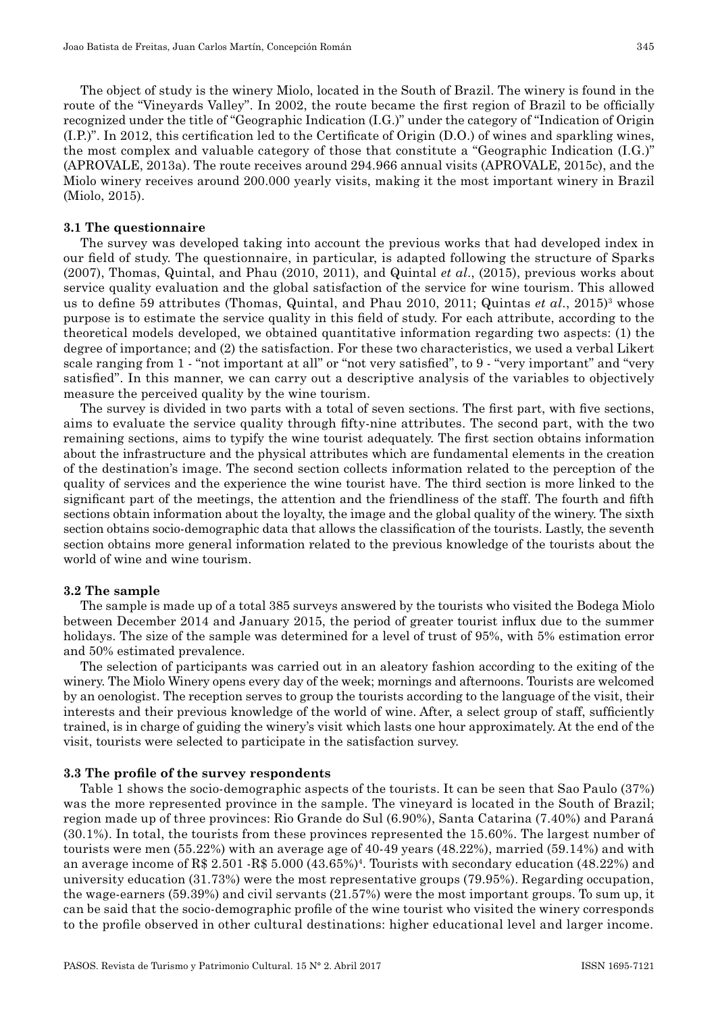The object of study is the winery Miolo, located in the South of Brazil. The winery is found in the route of the "Vineyards Valley". In 2002, the route became the first region of Brazil to be officially recognized under the title of "Geographic Indication (I.G.)" under the category of "Indication of Origin (I.P.)". In 2012, this certification led to the Certificate of Origin (D.O.) of wines and sparkling wines, the most complex and valuable category of those that constitute a "Geographic Indication (I.G.)" (APROVALE, 2013a). The route receives around 294.966 annual visits (APROVALE, 2015c), and the Miolo winery receives around 200.000 yearly visits, making it the most important winery in Brazil (Miolo, 2015).

#### **3.1 The questionnaire**

The survey was developed taking into account the previous works that had developed index in our field of study. The questionnaire, in particular, is adapted following the structure of Sparks (2007), Thomas, Quintal, and Phau (2010, 2011), and Quintal *et al*., (2015), previous works about service quality evaluation and the global satisfaction of the service for wine tourism. This allowed us to define 59 attributes (Thomas, Quintal, and Phau 2010, 2011; Quintas *et al.*, 2015)<sup>3</sup> whose purpose is to estimate the service quality in this field of study. For each attribute, according to the theoretical models developed, we obtained quantitative information regarding two aspects: (1) the degree of importance; and (2) the satisfaction. For these two characteristics, we used a verbal Likert scale ranging from 1 - "not important at all" or "not very satisfied", to 9 - "very important" and "very satisfied". In this manner, we can carry out a descriptive analysis of the variables to objectively measure the perceived quality by the wine tourism.

The survey is divided in two parts with a total of seven sections. The first part, with five sections, aims to evaluate the service quality through fifty-nine attributes. The second part, with the two remaining sections, aims to typify the wine tourist adequately. The first section obtains information about the infrastructure and the physical attributes which are fundamental elements in the creation of the destination's image. The second section collects information related to the perception of the quality of services and the experience the wine tourist have. The third section is more linked to the significant part of the meetings, the attention and the friendliness of the staff. The fourth and fifth sections obtain information about the loyalty, the image and the global quality of the winery. The sixth section obtains socio-demographic data that allows the classification of the tourists. Lastly, the seventh section obtains more general information related to the previous knowledge of the tourists about the world of wine and wine tourism.

#### **3.2 The sample**

The sample is made up of a total 385 surveys answered by the tourists who visited the Bodega Miolo between December 2014 and January 2015, the period of greater tourist influx due to the summer holidays. The size of the sample was determined for a level of trust of 95%, with 5% estimation error and 50% estimated prevalence.

The selection of participants was carried out in an aleatory fashion according to the exiting of the winery. The Miolo Winery opens every day of the week; mornings and afternoons. Tourists are welcomed by an oenologist. The reception serves to group the tourists according to the language of the visit, their interests and their previous knowledge of the world of wine. After, a select group of staff, sufficiently trained, is in charge of guiding the winery's visit which lasts one hour approximately. At the end of the visit, tourists were selected to participate in the satisfaction survey.

#### **3.3 The profile of the survey respondents**

Table 1 shows the socio-demographic aspects of the tourists. It can be seen that Sao Paulo (37%) was the more represented province in the sample. The vineyard is located in the South of Brazil; region made up of three provinces: Rio Grande do Sul (6.90%), Santa Catarina (7.40%) and Paraná (30.1%). In total, the tourists from these provinces represented the 15.60%. The largest number of tourists were men (55.22%) with an average age of 40-49 years (48.22%), married (59.14%) and with an average income of R\$ 2.501 -R\$ 5.000 (43.65%)<sup>4</sup>. Tourists with secondary education (48.22%) and university education (31.73%) were the most representative groups (79.95%). Regarding occupation, the wage-earners (59.39%) and civil servants (21.57%) were the most important groups. To sum up, it can be said that the socio-demographic profile of the wine tourist who visited the winery corresponds to the profile observed in other cultural destinations: higher educational level and larger income.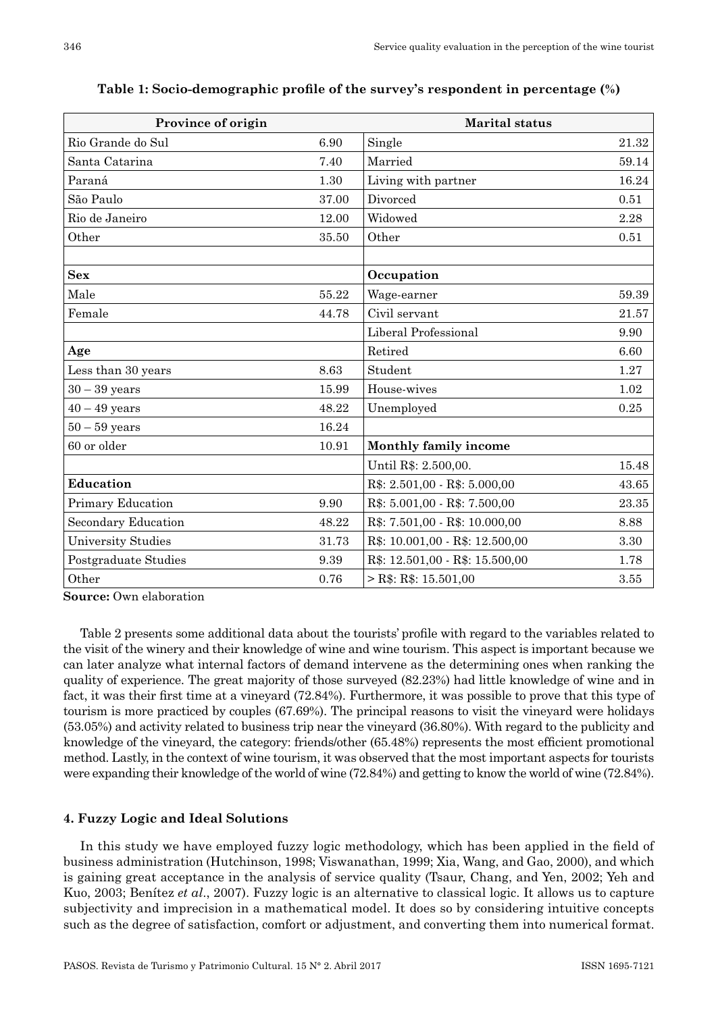| Province of origin        | <b>Marital</b> status |                                 |       |
|---------------------------|-----------------------|---------------------------------|-------|
| Rio Grande do Sul         | 6.90                  | Single                          | 21.32 |
| Santa Catarina            | 7.40                  | Married                         | 59.14 |
| Paraná                    | 1.30                  | Living with partner             | 16.24 |
| São Paulo                 | 37.00                 | Divorced                        | 0.51  |
| Rio de Janeiro            | 12.00                 | Widowed                         | 2.28  |
| Other                     | 35.50                 | Other                           | 0.51  |
|                           |                       |                                 |       |
| <b>Sex</b>                |                       | Occupation                      |       |
| Male                      | 55.22                 | Wage-earner                     | 59.39 |
| Female                    | 44.78                 | Civil servant                   | 21.57 |
|                           |                       | Liberal Professional            | 9.90  |
| Age                       |                       | Retired                         | 6.60  |
| Less than 30 years        | 8.63                  | Student                         | 1.27  |
| $30 - 39$ years           | 15.99                 | House-wives                     | 1.02  |
| $40 - 49$ years           | 48.22                 | Unemployed                      | 0.25  |
| $50 - 59$ years           | 16.24                 |                                 |       |
| 60 or older               | 10.91                 | Monthly family income           |       |
|                           |                       | Until R\$: 2.500,00.            | 15.48 |
| <b>Education</b>          |                       | R\$: 2.501,00 - R\$: 5.000,00   | 43.65 |
| Primary Education         | 9.90                  | R\$: 5.001,00 - R\$: 7.500,00   | 23.35 |
| Secondary Education       | 48.22                 | R\$: 7.501,00 - R\$: 10.000,00  | 8.88  |
| <b>University Studies</b> | 31.73                 | R\$: 10.001,00 - R\$: 12.500,00 | 3.30  |
| Postgraduate Studies      | 9.39                  | R\$: 12.501,00 - R\$: 15.500,00 | 1.78  |
| Other                     | 0.76                  | $>$ R\$: R\$: 15.501,00         | 3.55  |

**Table 1: Socio-demographic profile of the survey's respondent in percentage (%)**

**Source:** Own elaboration

Table 2 presents some additional data about the tourists' profile with regard to the variables related to the visit of the winery and their knowledge of wine and wine tourism. This aspect is important because we can later analyze what internal factors of demand intervene as the determining ones when ranking the quality of experience. The great majority of those surveyed (82.23%) had little knowledge of wine and in fact, it was their first time at a vineyard (72.84%). Furthermore, it was possible to prove that this type of tourism is more practiced by couples (67.69%). The principal reasons to visit the vineyard were holidays (53.05%) and activity related to business trip near the vineyard (36.80%). With regard to the publicity and knowledge of the vineyard, the category: friends/other (65.48%) represents the most efficient promotional method. Lastly, in the context of wine tourism, it was observed that the most important aspects for tourists were expanding their knowledge of the world of wine (72.84%) and getting to know the world of wine (72.84%).

## **4. Fuzzy Logic and Ideal Solutions**

In this study we have employed fuzzy logic methodology, which has been applied in the field of business administration (Hutchinson, 1998; Viswanathan, 1999; Xia, Wang, and Gao, 2000), and which is gaining great acceptance in the analysis of service quality (Tsaur, Chang, and Yen, 2002; Yeh and Kuo, 2003; Benítez *et al*., 2007). Fuzzy logic is an alternative to classical logic. It allows us to capture subjectivity and imprecision in a mathematical model. It does so by considering intuitive concepts such as the degree of satisfaction, comfort or adjustment, and converting them into numerical format.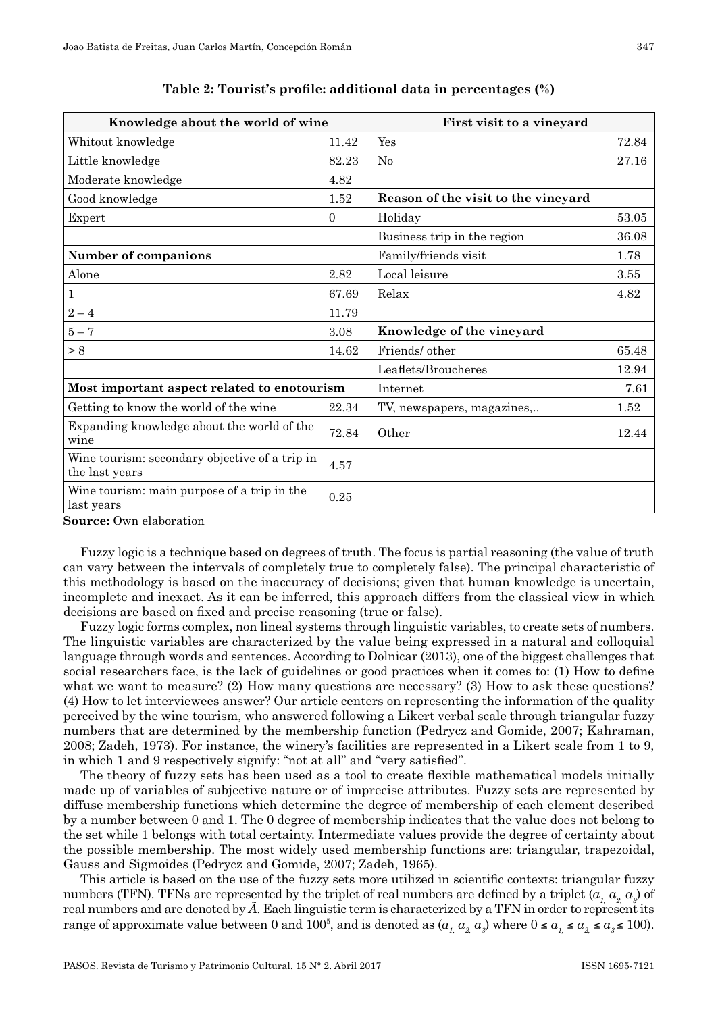| Knowledge about the world of wine                                |              | First visit to a vineyard           |           |  |  |
|------------------------------------------------------------------|--------------|-------------------------------------|-----------|--|--|
| Whitout knowledge                                                | 11.42        | Yes                                 | 72.84     |  |  |
| Little knowledge                                                 | 82.23        | No                                  | 27.16     |  |  |
| Moderate knowledge                                               | 4.82         |                                     |           |  |  |
| Good knowledge                                                   | 1.52         | Reason of the visit to the vineyard |           |  |  |
| Expert                                                           | $\mathbf{0}$ | Holiday                             | $53.05\,$ |  |  |
|                                                                  |              | Business trip in the region         | 36.08     |  |  |
| <b>Number of companions</b>                                      |              | Family/friends visit                | 1.78      |  |  |
| Alone                                                            | 2.82         | Local leisure                       | 3.55      |  |  |
| 1                                                                | 67.69        | Relax                               | 4.82      |  |  |
| $2 - 4$                                                          | 11.79        |                                     |           |  |  |
| $5 - 7$                                                          | 3.08         | Knowledge of the vineyard           |           |  |  |
| > 8                                                              | 14.62        | Friends/ other                      | 65.48     |  |  |
|                                                                  |              | Leaflets/Broucheres                 | 12.94     |  |  |
| Most important aspect related to enotourism                      |              | Internet                            | 7.61      |  |  |
| Getting to know the world of the wine                            | 22.34        | TV, newspapers, magazines           | 1.52      |  |  |
| Expanding knowledge about the world of the<br>wine               | 72.84        | Other                               | 12.44     |  |  |
| Wine tourism: secondary objective of a trip in<br>the last years | 4.57         |                                     |           |  |  |
| Wine tourism: main purpose of a trip in the<br>last vears        | 0.25         |                                     |           |  |  |

**Table 2: Tourist's profile: additional data in percentages (%)**

**Source:** Own elaboration

Fuzzy logic is a technique based on degrees of truth. The focus is partial reasoning (the value of truth can vary between the intervals of completely true to completely false). The principal characteristic of this methodology is based on the inaccuracy of decisions; given that human knowledge is uncertain, incomplete and inexact. As it can be inferred, this approach differs from the classical view in which decisions are based on fixed and precise reasoning (true or false).

Fuzzy logic forms complex, non lineal systems through linguistic variables, to create sets of numbers. The linguistic variables are characterized by the value being expressed in a natural and colloquial language through words and sentences. According to Dolnicar (2013), one of the biggest challenges that social researchers face, is the lack of guidelines or good practices when it comes to: (1) How to define what we want to measure? (2) How many questions are necessary? (3) How to ask these questions? (4) How to let interviewees answer? Our article centers on representing the information of the quality perceived by the wine tourism, who answered following a Likert verbal scale through triangular fuzzy numbers that are determined by the membership function (Pedrycz and Gomide, 2007; Kahraman, 2008; Zadeh, 1973). For instance, the winery's facilities are represented in a Likert scale from 1 to 9, in which 1 and 9 respectively signify: "not at all" and "very satisfied".

The theory of fuzzy sets has been used as a tool to create flexible mathematical models initially made up of variables of subjective nature or of imprecise attributes. Fuzzy sets are represented by diffuse membership functions which determine the degree of membership of each element described by a number between 0 and 1. The 0 degree of membership indicates that the value does not belong to the set while 1 belongs with total certainty. Intermediate values provide the degree of certainty about the possible membership. The most widely used membership functions are: triangular, trapezoidal, Gauss and Sigmoides (Pedrycz and Gomide, 2007; Zadeh, 1965).

This article is based on the use of the fuzzy sets more utilized in scientific contexts: triangular fuzzy numbers (TFN). TFNs are represented by the triplet of real numbers are defined by a triplet ( $a_{_L}$   $a_{_2}$   $a_{_3}$ ) of real numbers and are denoted by *Ã*. Each linguistic term is characterized by a TFN in order to represent its range of approximate value between 0 and 100<sup>5</sup>, and is denoted as  $(a_1, a_2, a_3)$  where  $0 \le a_1 \le a_2 \le a_3 \le 100$ .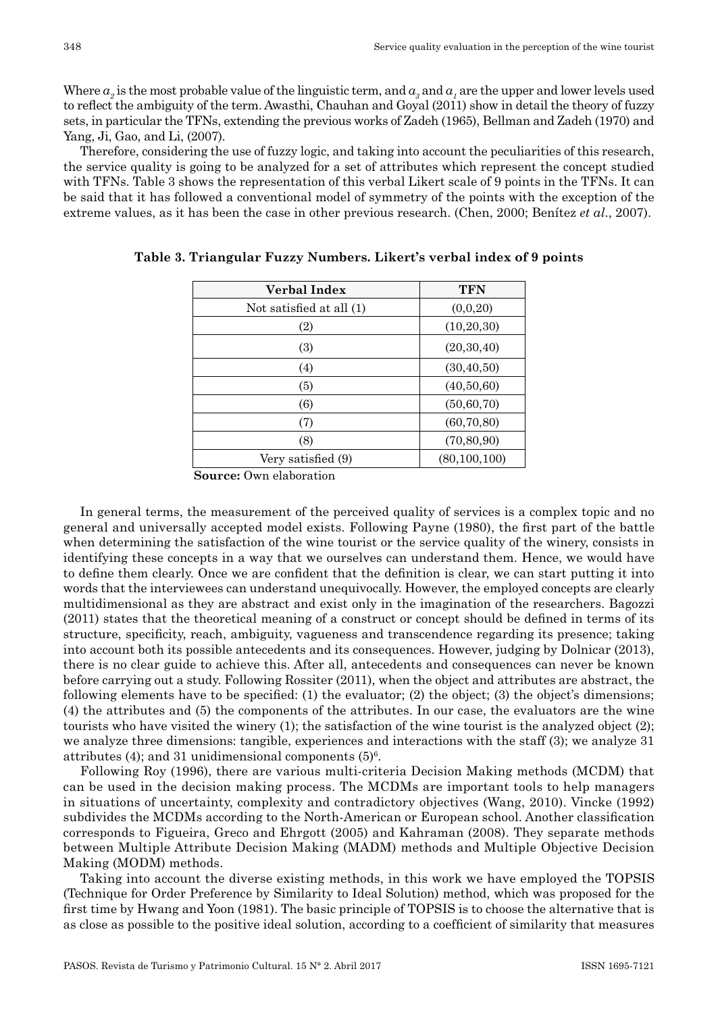Where  $a_2$  is the most probable value of the linguistic term, and  $a_3$  and  $a_1$  are the upper and lower levels used to reflect the ambiguity of the term. Awasthi, Chauhan and Goyal (2011) show in detail the theory of fuzzy sets, in particular the TFNs, extending the previous works of Zadeh (1965), Bellman and Zadeh (1970) and Yang, Ji, Gao, and Li, (2007).

Therefore, considering the use of fuzzy logic, and taking into account the peculiarities of this research, the service quality is going to be analyzed for a set of attributes which represent the concept studied with TFNs. Table 3 shows the representation of this verbal Likert scale of 9 points in the TFNs. It can be said that it has followed a conventional model of symmetry of the points with the exception of the extreme values, as it has been the case in other previous research. (Chen, 2000; Benítez *et al*., 2007).

| Verbal Index             | <b>TFN</b>     |
|--------------------------|----------------|
| Not satisfied at all (1) | (0,0,20)       |
| (2)                      | (10, 20, 30)   |
| (3)                      | (20, 30, 40)   |
| (4)                      | (30, 40, 50)   |
| (5)                      | (40,50,60)     |
| (6)                      | (50, 60, 70)   |
| (7)                      | (60, 70, 80)   |
| (8)                      | (70, 80, 90)   |
| Very satisfied (9)       | (80, 100, 100) |

| Table 3. Triangular Fuzzy Numbers. Likert's verbal index of 9 points |  |  |  |
|----------------------------------------------------------------------|--|--|--|
|----------------------------------------------------------------------|--|--|--|

**Source:** Own elaboration

In general terms, the measurement of the perceived quality of services is a complex topic and no general and universally accepted model exists. Following Payne (1980), the first part of the battle when determining the satisfaction of the wine tourist or the service quality of the winery, consists in identifying these concepts in a way that we ourselves can understand them. Hence, we would have to define them clearly. Once we are confident that the definition is clear, we can start putting it into words that the interviewees can understand unequivocally. However, the employed concepts are clearly multidimensional as they are abstract and exist only in the imagination of the researchers. Bagozzi (2011) states that the theoretical meaning of a construct or concept should be defined in terms of its structure, specificity, reach, ambiguity, vagueness and transcendence regarding its presence; taking into account both its possible antecedents and its consequences. However, judging by Dolnicar (2013), there is no clear guide to achieve this. After all, antecedents and consequences can never be known before carrying out a study. Following Rossiter (2011), when the object and attributes are abstract, the following elements have to be specified: (1) the evaluator; (2) the object; (3) the object's dimensions; (4) the attributes and (5) the components of the attributes. In our case, the evaluators are the wine tourists who have visited the winery (1); the satisfaction of the wine tourist is the analyzed object (2); we analyze three dimensions: tangible, experiences and interactions with the staff (3); we analyze 31 attributes  $(4)$ ; and 31 unidimensional components  $(5)^6$ .

Following Roy (1996), there are various multi-criteria Decision Making methods (MCDM) that can be used in the decision making process. The MCDMs are important tools to help managers in situations of uncertainty, complexity and contradictory objectives (Wang, 2010). Vincke (1992) subdivides the MCDMs according to the North-American or European school. Another classification corresponds to Figueira, Greco and Ehrgott (2005) and Kahraman (2008). They separate methods between Multiple Attribute Decision Making (MADM) methods and Multiple Objective Decision Making (MODM) methods.

Taking into account the diverse existing methods, in this work we have employed the TOPSIS (Technique for Order Preference by Similarity to Ideal Solution) method, which was proposed for the first time by Hwang and Yoon (1981). The basic principle of TOPSIS is to choose the alternative that is as close as possible to the positive ideal solution, according to a coefficient of similarity that measures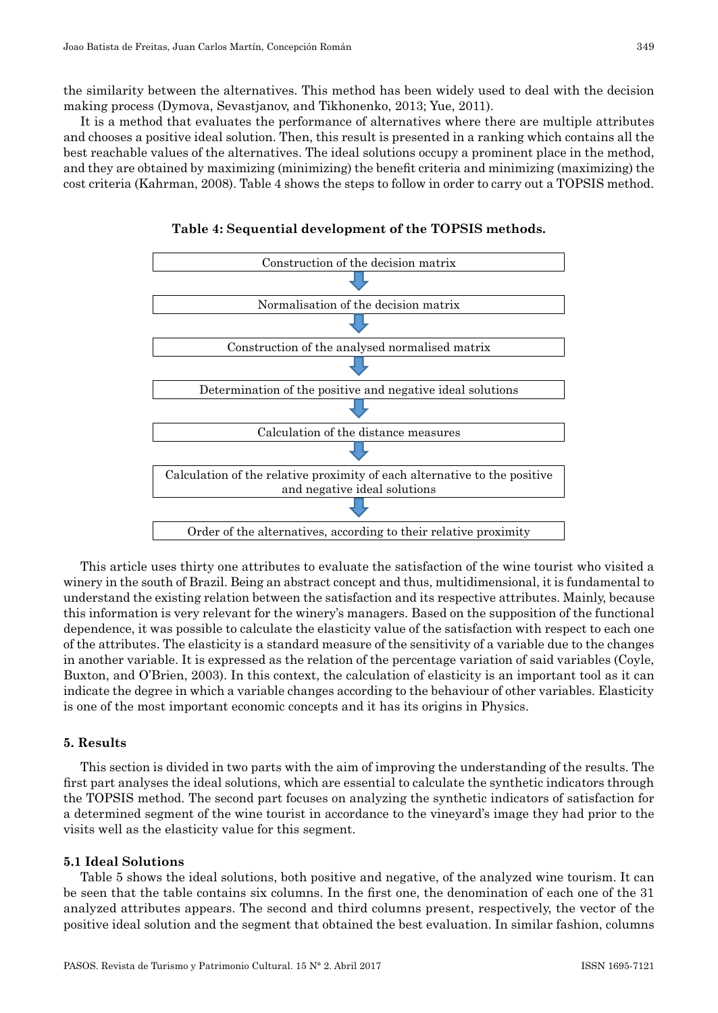the similarity between the alternatives. This method has been widely used to deal with the decision making process (Dymova, Sevastjanov, and Tikhonenko, 2013; Yue, 2011).

It is a method that evaluates the performance of alternatives where there are multiple attributes and chooses a positive ideal solution. Then, this result is presented in a ranking which contains all the best reachable values of the alternatives. The ideal solutions occupy a prominent place in the method, and they are obtained by maximizing (minimizing) the benefit criteria and minimizing (maximizing) the cost criteria (Kahrman, 2008). Table 4 shows the steps to follow in order to carry out a TOPSIS method.



**Table 4: Sequential development of the TOPSIS methods.**

This article uses thirty one attributes to evaluate the satisfaction of the wine tourist who visited a winery in the south of Brazil. Being an abstract concept and thus, multidimensional, it is fundamental to understand the existing relation between the satisfaction and its respective attributes. Mainly, because this information is very relevant for the winery's managers. Based on the supposition of the functional dependence, it was possible to calculate the elasticity value of the satisfaction with respect to each one of the attributes. The elasticity is a standard measure of the sensitivity of a variable due to the changes in another variable. It is expressed as the relation of the percentage variation of said variables (Coyle, Buxton, and O'Brien, 2003). In this context, the calculation of elasticity is an important tool as it can indicate the degree in which a variable changes according to the behaviour of other variables. Elasticity is one of the most important economic concepts and it has its origins in Physics.

## **5. Results**

This section is divided in two parts with the aim of improving the understanding of the results. The first part analyses the ideal solutions, which are essential to calculate the synthetic indicators through the TOPSIS method. The second part focuses on analyzing the synthetic indicators of satisfaction for a determined segment of the wine tourist in accordance to the vineyard's image they had prior to the visits well as the elasticity value for this segment.

## **5.1 Ideal Solutions**

Table 5 shows the ideal solutions, both positive and negative, of the analyzed wine tourism. It can be seen that the table contains six columns. In the first one, the denomination of each one of the 31 analyzed attributes appears. The second and third columns present, respectively, the vector of the positive ideal solution and the segment that obtained the best evaluation. In similar fashion, columns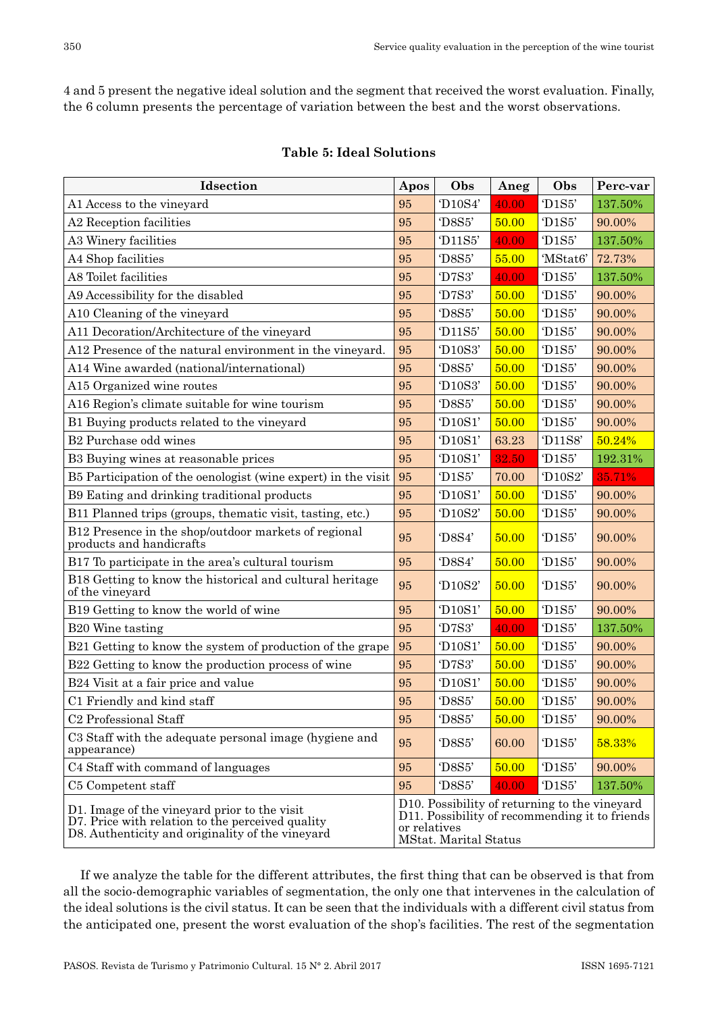4 and 5 present the negative ideal solution and the segment that received the worst evaluation. Finally, the 6 column presents the percentage of variation between the best and the worst observations.

| Idsection                                                                                                                                            | Apos                                                                                                                                     | Obs                               | Aneg  | Obs                                      | Perc-var |
|------------------------------------------------------------------------------------------------------------------------------------------------------|------------------------------------------------------------------------------------------------------------------------------------------|-----------------------------------|-------|------------------------------------------|----------|
| A1 Access to the vineyard                                                                                                                            | 95                                                                                                                                       | 'D <sub>10</sub> S4'              | 40.00 | 'D1S5'                                   | 137.50%  |
| A2 Reception facilities                                                                                                                              | 95                                                                                                                                       | 'D8S5'                            | 50.00 | 'D1S5'                                   | 90.00%   |
| A3 Winery facilities                                                                                                                                 | 95                                                                                                                                       | 'D11S5'                           | 40.00 | 'D1S5'                                   | 137.50%  |
| A4 Shop facilities                                                                                                                                   | 95                                                                                                                                       | 'D8S5'                            | 55.00 | 'MStat6'                                 | 72.73%   |
| A8 Toilet facilities                                                                                                                                 | 95                                                                                                                                       | 'D7S3'                            | 40.00 | 'D1S5'                                   | 137.50%  |
| A9 Accessibility for the disabled                                                                                                                    | 95                                                                                                                                       | 'D7S3'                            | 50.00 | 'D1S5'                                   | 90.00%   |
| A10 Cleaning of the vineyard                                                                                                                         | 95                                                                                                                                       | 'D8S5'                            | 50.00 | 'D1S5'                                   | 90.00%   |
| A11 Decoration/Architecture of the vineyard                                                                                                          | 95                                                                                                                                       | 'D11S5'                           | 50.00 | 'D1S5'                                   | 90.00%   |
| A12 Presence of the natural environment in the vineyard.                                                                                             | 95                                                                                                                                       | 'D10S3'                           | 50.00 | 'D1S5'                                   | 90.00%   |
| A14 Wine awarded (national/international)                                                                                                            | 95                                                                                                                                       | 'D8S5'                            | 50.00 | 'D1S5'                                   | 90.00%   |
| A15 Organized wine routes                                                                                                                            | 95                                                                                                                                       | 'D10S3'                           | 50.00 | 'D1S5'                                   | 90.00%   |
| A16 Region's climate suitable for wine tourism                                                                                                       | 95                                                                                                                                       | 'D8S5'                            | 50.00 | 'D1S5'                                   | 90.00%   |
| B1 Buying products related to the vineyard                                                                                                           | 95                                                                                                                                       | 'D10S1'                           | 50.00 | $^{\circ}$ D <sub>1</sub> S <sub>5</sub> | 90.00%   |
| B <sub>2</sub> Purchase odd wines                                                                                                                    | 95                                                                                                                                       | 'D10S1'                           | 63.23 | 'D <sub>11</sub> S8'                     | 50.24%   |
| B3 Buying wines at reasonable prices                                                                                                                 | 95                                                                                                                                       | 'D10S1'                           | 32.50 | $^{\circ}$ D <sub>1</sub> S <sub>5</sub> | 192.31%  |
| B5 Participation of the oenologist (wine expert) in the visit                                                                                        | 95                                                                                                                                       | 'D <sub>1</sub> S5'               | 70.00 | 'D <sub>10</sub> S <sub>2</sub> '        | 35.71%   |
| B9 Eating and drinking traditional products                                                                                                          | 95                                                                                                                                       | 'D10S1'                           | 50.00 | $^{\circ}$ D <sub>1</sub> S <sub>5</sub> | 90.00%   |
| B11 Planned trips (groups, thematic visit, tasting, etc.)                                                                                            | 95                                                                                                                                       | 'D <sub>10</sub> S <sub>2</sub> ' | 50.00 | D <sub>1S5</sub>                         | 90.00%   |
| B12 Presence in the shop/outdoor markets of regional<br>products and handicrafts                                                                     | 95                                                                                                                                       | 'D8S4'                            | 50.00 | 'D1S5'                                   | 90.00%   |
| B17 To participate in the area's cultural tourism                                                                                                    | 95                                                                                                                                       | 'D8S4'                            | 50.00 | 'D1S5'                                   | 90.00%   |
| B18 Getting to know the historical and cultural heritage<br>of the vineyard                                                                          | 95                                                                                                                                       | 'D10S2'                           | 50.00 | $^{\prime}$ D1S5'                        | 90.00%   |
| B <sub>19</sub> Getting to know the world of wine                                                                                                    | 95                                                                                                                                       | `D10S1'                           | 50.00 | $^{\prime}$ D1S5'                        | 90.00%   |
| B <sub>20</sub> Wine tasting                                                                                                                         | 95                                                                                                                                       | 'D7S3'                            | 40.00 | $^{\prime}$ D1S5'                        | 137.50%  |
| B21 Getting to know the system of production of the grape                                                                                            | 95                                                                                                                                       | `D10S1'                           | 50.00 | 'D1S5'                                   | 90.00%   |
| B22 Getting to know the production process of wine                                                                                                   | 95                                                                                                                                       | 'D7S3'                            | 50.00 | 'D1S5'                                   | 90.00%   |
| B24 Visit at a fair price and value                                                                                                                  | 95                                                                                                                                       | 'D10S1'                           | 50.00 | 'D1S5'                                   | 90.00%   |
| C1 Friendly and kind staff                                                                                                                           | 95                                                                                                                                       | 'D8S5'                            | 50.00 | 'D1S5'                                   | 90.00%   |
| C <sub>2</sub> Professional Staff                                                                                                                    | 95                                                                                                                                       | 'D8S5'                            | 50.00 | 'D1S5'                                   | 90.00%   |
| C3 Staff with the adequate personal image (hygiene and<br>appearance)                                                                                | 95                                                                                                                                       | 'D8S5'                            | 60.00 | $^{\prime}$ D1S5'                        | 58.33%   |
| C4 Staff with command of languages                                                                                                                   | 95                                                                                                                                       | 'D8S5'                            | 50.00 | 'D1S5'                                   | 90.00%   |
| C5 Competent staff                                                                                                                                   | 95                                                                                                                                       | 'D8S5'                            | 40.00 | T1SS'                                    | 137.50%  |
| D1. Image of the vineyard prior to the visit<br>D7. Price with relation to the perceived quality<br>D8. Authenticity and originality of the vineyard | D10. Possibility of returning to the vineyard<br>D11. Possibility of recommending it to friends<br>or relatives<br>MStat. Marital Status |                                   |       |                                          |          |

## **Table 5: Ideal Solutions**

If we analyze the table for the different attributes, the first thing that can be observed is that from all the socio-demographic variables of segmentation, the only one that intervenes in the calculation of the ideal solutions is the civil status. It can be seen that the individuals with a different civil status from the anticipated one, present the worst evaluation of the shop's facilities. The rest of the segmentation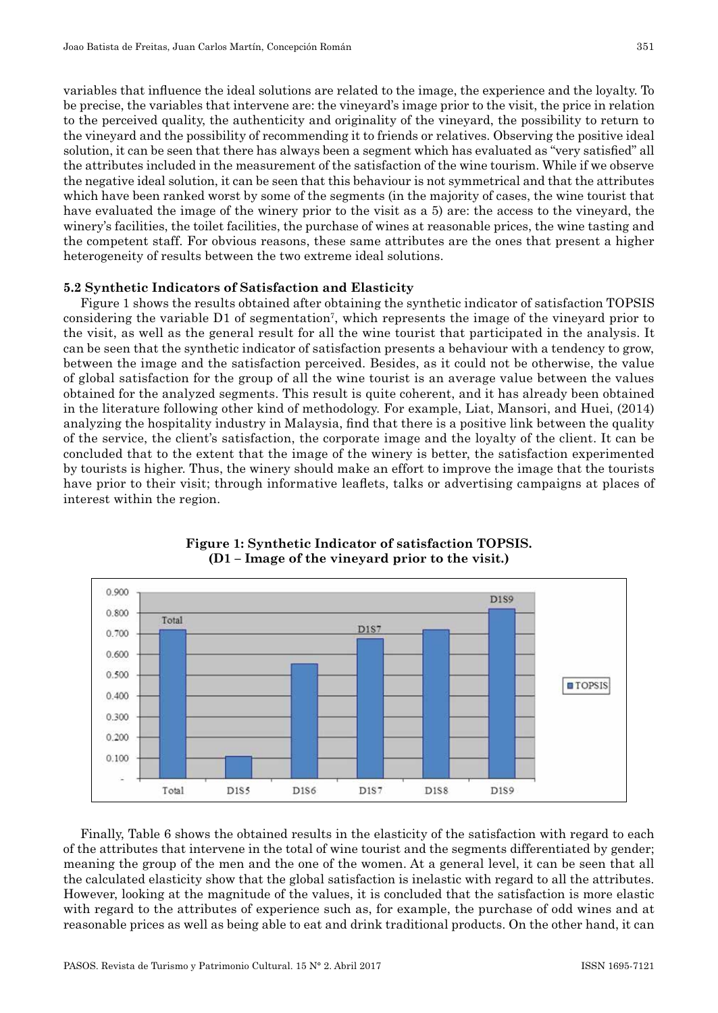variables that influence the ideal solutions are related to the image, the experience and the loyalty. To be precise, the variables that intervene are: the vineyard's image prior to the visit, the price in relation to the perceived quality, the authenticity and originality of the vineyard, the possibility to return to the vineyard and the possibility of recommending it to friends or relatives. Observing the positive ideal solution, it can be seen that there has always been a segment which has evaluated as "very satisfied" all the attributes included in the measurement of the satisfaction of the wine tourism. While if we observe the negative ideal solution, it can be seen that this behaviour is not symmetrical and that the attributes which have been ranked worst by some of the segments (in the majority of cases, the wine tourist that have evaluated the image of the winery prior to the visit as a 5) are: the access to the vineyard, the winery's facilities, the toilet facilities, the purchase of wines at reasonable prices, the wine tasting and the competent staff. For obvious reasons, these same attributes are the ones that present a higher heterogeneity of results between the two extreme ideal solutions.

## **5.2 Synthetic Indicators of Satisfaction and Elasticity**

Figure 1 shows the results obtained after obtaining the synthetic indicator of satisfaction TOPSIS considering the variable D1 of segmentation<sup>7</sup>, which represents the image of the vineyard prior to the visit, as well as the general result for all the wine tourist that participated in the analysis. It can be seen that the synthetic indicator of satisfaction presents a behaviour with a tendency to grow, between the image and the satisfaction perceived. Besides, as it could not be otherwise, the value of global satisfaction for the group of all the wine tourist is an average value between the values obtained for the analyzed segments. This result is quite coherent, and it has already been obtained in the literature following other kind of methodology. For example, Liat, Mansori, and Huei, (2014) analyzing the hospitality industry in Malaysia, find that there is a positive link between the quality of the service, the client's satisfaction, the corporate image and the loyalty of the client. It can be concluded that to the extent that the image of the winery is better, the satisfaction experimented by tourists is higher. Thus, the winery should make an effort to improve the image that the tourists have prior to their visit; through informative leaflets, talks or advertising campaigns at places of interest within the region.



## **Figure 1: Synthetic Indicator of satisfaction TOPSIS. (D1 – Image of the vineyard prior to the visit.)**

Finally, Table 6 shows the obtained results in the elasticity of the satisfaction with regard to each of the attributes that intervene in the total of wine tourist and the segments differentiated by gender; meaning the group of the men and the one of the women. At a general level, it can be seen that all the calculated elasticity show that the global satisfaction is inelastic with regard to all the attributes. However, looking at the magnitude of the values, it is concluded that the satisfaction is more elastic with regard to the attributes of experience such as, for example, the purchase of odd wines and at reasonable prices as well as being able to eat and drink traditional products. On the other hand, it can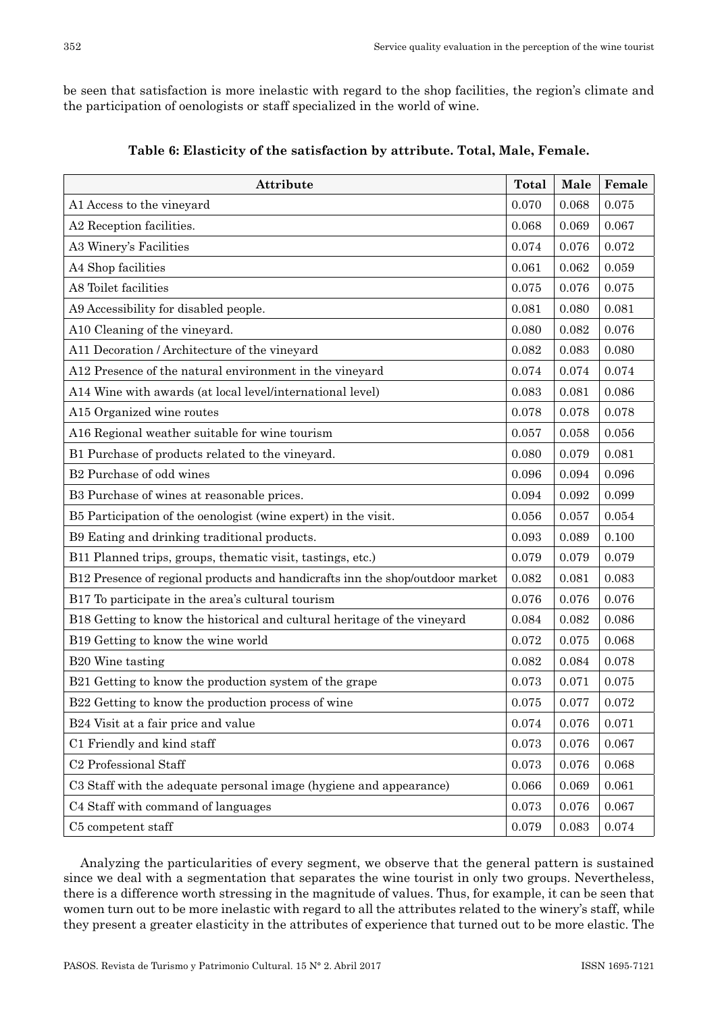be seen that satisfaction is more inelastic with regard to the shop facilities, the region's climate and the participation of oenologists or staff specialized in the world of wine.

| Attribute                                                                     |       | Male  | Female |
|-------------------------------------------------------------------------------|-------|-------|--------|
| A1 Access to the vineyard                                                     | 0.070 | 0.068 | 0.075  |
| A2 Reception facilities.                                                      | 0.068 | 0.069 | 0.067  |
| A3 Winery's Facilities                                                        | 0.074 | 0.076 | 0.072  |
| A4 Shop facilities                                                            | 0.061 | 0.062 | 0.059  |
| A8 Toilet facilities                                                          | 0.075 | 0.076 | 0.075  |
| A9 Accessibility for disabled people.                                         | 0.081 | 0.080 | 0.081  |
| A10 Cleaning of the vineyard.                                                 | 0.080 | 0.082 | 0.076  |
| A11 Decoration / Architecture of the vineyard                                 | 0.082 | 0.083 | 0.080  |
| A12 Presence of the natural environment in the vineyard                       | 0.074 | 0.074 | 0.074  |
| A14 Wine with awards (at local level/international level)                     | 0.083 | 0.081 | 0.086  |
| A15 Organized wine routes                                                     | 0.078 | 0.078 | 0.078  |
| A16 Regional weather suitable for wine tourism                                | 0.057 | 0.058 | 0.056  |
| B1 Purchase of products related to the vineyard.                              | 0.080 | 0.079 | 0.081  |
| B <sub>2</sub> Purchase of odd wines                                          | 0.096 | 0.094 | 0.096  |
| B3 Purchase of wines at reasonable prices.                                    | 0.094 | 0.092 | 0.099  |
| B5 Participation of the oenologist (wine expert) in the visit.                | 0.056 | 0.057 | 0.054  |
| B9 Eating and drinking traditional products.                                  | 0.093 | 0.089 | 0.100  |
| B11 Planned trips, groups, thematic visit, tastings, etc.)                    | 0.079 | 0.079 | 0.079  |
| B12 Presence of regional products and handicrafts inn the shop/outdoor market | 0.082 | 0.081 | 0.083  |
| B17 To participate in the area's cultural tourism                             | 0.076 | 0.076 | 0.076  |
| B18 Getting to know the historical and cultural heritage of the vineyard      | 0.084 | 0.082 | 0.086  |
| B19 Getting to know the wine world                                            | 0.072 | 0.075 | 0.068  |
| B20 Wine tasting                                                              | 0.082 | 0.084 | 0.078  |
| B21 Getting to know the production system of the grape                        | 0.073 | 0.071 | 0.075  |
| B22 Getting to know the production process of wine                            | 0.075 | 0.077 | 0.072  |
| B24 Visit at a fair price and value                                           | 0.074 | 0.076 | 0.071  |
| C1 Friendly and kind staff                                                    | 0.073 | 0.076 | 0.067  |
| C <sub>2</sub> Professional Staff                                             | 0.073 | 0.076 | 0.068  |
| C3 Staff with the adequate personal image (hygiene and appearance)            | 0.066 | 0.069 | 0.061  |
| C4 Staff with command of languages                                            | 0.073 | 0.076 | 0.067  |
| C5 competent staff                                                            | 0.079 | 0.083 | 0.074  |

**Table 6: Elasticity of the satisfaction by attribute. Total, Male, Female.**

Analyzing the particularities of every segment, we observe that the general pattern is sustained since we deal with a segmentation that separates the wine tourist in only two groups. Nevertheless, there is a difference worth stressing in the magnitude of values. Thus, for example, it can be seen that women turn out to be more inelastic with regard to all the attributes related to the winery's staff, while they present a greater elasticity in the attributes of experience that turned out to be more elastic. The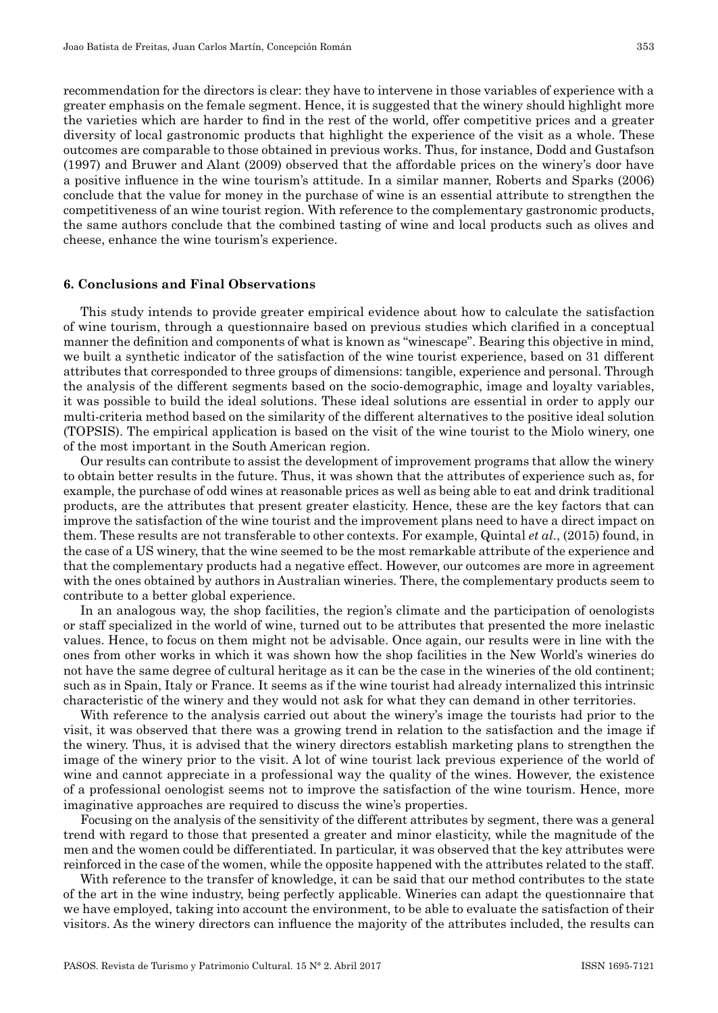recommendation for the directors is clear: they have to intervene in those variables of experience with a greater emphasis on the female segment. Hence, it is suggested that the winery should highlight more the varieties which are harder to find in the rest of the world, offer competitive prices and a greater diversity of local gastronomic products that highlight the experience of the visit as a whole. These outcomes are comparable to those obtained in previous works. Thus, for instance, Dodd and Gustafson (1997) and Bruwer and Alant (2009) observed that the affordable prices on the winery's door have a positive influence in the wine tourism's attitude. In a similar manner, Roberts and Sparks (2006) conclude that the value for money in the purchase of wine is an essential attribute to strengthen the competitiveness of an wine tourist region. With reference to the complementary gastronomic products, the same authors conclude that the combined tasting of wine and local products such as olives and cheese, enhance the wine tourism's experience.

#### **6. Conclusions and Final Observations**

This study intends to provide greater empirical evidence about how to calculate the satisfaction of wine tourism, through a questionnaire based on previous studies which clarified in a conceptual manner the definition and components of what is known as "winescape". Bearing this objective in mind, we built a synthetic indicator of the satisfaction of the wine tourist experience, based on 31 different attributes that corresponded to three groups of dimensions: tangible, experience and personal. Through the analysis of the different segments based on the socio-demographic, image and loyalty variables, it was possible to build the ideal solutions. These ideal solutions are essential in order to apply our multi-criteria method based on the similarity of the different alternatives to the positive ideal solution (TOPSIS). The empirical application is based on the visit of the wine tourist to the Miolo winery, one of the most important in the South American region.

Our results can contribute to assist the development of improvement programs that allow the winery to obtain better results in the future. Thus, it was shown that the attributes of experience such as, for example, the purchase of odd wines at reasonable prices as well as being able to eat and drink traditional products, are the attributes that present greater elasticity. Hence, these are the key factors that can improve the satisfaction of the wine tourist and the improvement plans need to have a direct impact on them. These results are not transferable to other contexts. For example, Quintal *et al*., (2015) found, in the case of a US winery, that the wine seemed to be the most remarkable attribute of the experience and that the complementary products had a negative effect. However, our outcomes are more in agreement with the ones obtained by authors in Australian wineries. There, the complementary products seem to contribute to a better global experience.

In an analogous way, the shop facilities, the region's climate and the participation of oenologists or staff specialized in the world of wine, turned out to be attributes that presented the more inelastic values. Hence, to focus on them might not be advisable. Once again, our results were in line with the ones from other works in which it was shown how the shop facilities in the New World's wineries do not have the same degree of cultural heritage as it can be the case in the wineries of the old continent; such as in Spain, Italy or France. It seems as if the wine tourist had already internalized this intrinsic characteristic of the winery and they would not ask for what they can demand in other territories.

With reference to the analysis carried out about the winery's image the tourists had prior to the visit, it was observed that there was a growing trend in relation to the satisfaction and the image if the winery. Thus, it is advised that the winery directors establish marketing plans to strengthen the image of the winery prior to the visit. A lot of wine tourist lack previous experience of the world of wine and cannot appreciate in a professional way the quality of the wines. However, the existence of a professional oenologist seems not to improve the satisfaction of the wine tourism. Hence, more imaginative approaches are required to discuss the wine's properties.

Focusing on the analysis of the sensitivity of the different attributes by segment, there was a general trend with regard to those that presented a greater and minor elasticity, while the magnitude of the men and the women could be differentiated. In particular, it was observed that the key attributes were reinforced in the case of the women, while the opposite happened with the attributes related to the staff.

With reference to the transfer of knowledge, it can be said that our method contributes to the state of the art in the wine industry, being perfectly applicable. Wineries can adapt the questionnaire that we have employed, taking into account the environment, to be able to evaluate the satisfaction of their visitors. As the winery directors can influence the majority of the attributes included, the results can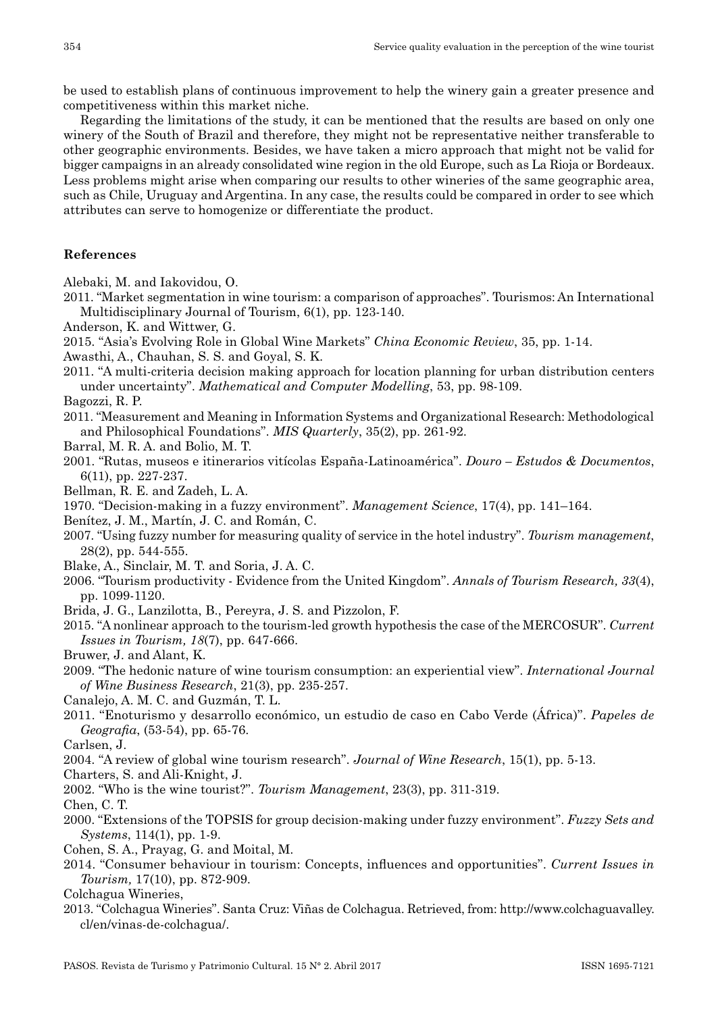be used to establish plans of continuous improvement to help the winery gain a greater presence and competitiveness within this market niche.

Regarding the limitations of the study, it can be mentioned that the results are based on only one winery of the South of Brazil and therefore, they might not be representative neither transferable to other geographic environments. Besides, we have taken a micro approach that might not be valid for bigger campaigns in an already consolidated wine region in the old Europe, such as La Rioja or Bordeaux. Less problems might arise when comparing our results to other wineries of the same geographic area, such as Chile, Uruguay and Argentina. In any case, the results could be compared in order to see which attributes can serve to homogenize or differentiate the product.

## **References**

Alebaki, M. and Iakovidou, O.

- 2011. "Market segmentation in wine tourism: a comparison of approaches". Tourismos: An International Multidisciplinary Journal of Tourism, 6(1), pp. 123-140.
- Anderson, K. and Wittwer, G.
- 2015. "Asia's Evolving Role in Global Wine Markets" *China Economic Review*, 35, pp. 1-14.
- Awasthi, A., Chauhan, S. S. and Goyal, S. K.

2011. "A multi-criteria decision making approach for location planning for urban distribution centers under uncertainty". *Mathematical and Computer Modelling*, 53, pp. 98-109.

- Bagozzi, R. P.
- 2011. "Measurement and Meaning in Information Systems and Organizational Research: Methodological and Philosophical Foundations". *MIS Quarterly*, 35(2), pp. 261-92.
- Barral, M. R. A. and Bolio, M. T.
- 2001. "Rutas, museos e itinerarios vitícolas España-Latinoamérica". *Douro Estudos & Documentos*, 6(11), pp. 227-237.
- Bellman, R. E. and Zadeh, L. A.
- 1970. "Decision-making in a fuzzy environment". *Management Science*, 17(4), pp. 141–164.
- Benítez, J. M., Martín, J. C. and Román, C.
- 2007. "Using fuzzy number for measuring quality of service in the hotel industry". *Tourism management*, 28(2), pp. 544-555.
- Blake, A., Sinclair, M. T. and Soria, J. A. C.
- 2006. "Tourism productivity Evidence from the United Kingdom". *Annals of Tourism Research, 33*(4), pp. 1099-1120.
- Brida, J. G., Lanzilotta, B., Pereyra, J. S. and Pizzolon, F.
- 2015. "A nonlinear approach to the tourism-led growth hypothesis the case of the MERCOSUR". *Current Issues in Tourism, 18*(7), pp. 647-666.
- Bruwer, J. and Alant, K.
- 2009. "The hedonic nature of wine tourism consumption: an experiential view". *International Journal of Wine Business Research*, 21(3), pp. 235-257.
- Canalejo, A. M. C. and Guzmán, T. L.
- 2011. "Enoturismo y desarrollo económico, un estudio de caso en Cabo Verde (África)". *Papeles de Geografia*, (53-54), pp. 65-76.
- Carlsen, J.
- 2004. "A review of global wine tourism research". *Journal of Wine Research*, 15(1), pp. 5-13.
- Charters, S. and Ali-Knight, J.
- 2002. "Who is the wine tourist?". *Tourism Management*, 23(3), pp. 311-319.

Chen, C. T.

- 2000. "Extensions of the TOPSIS for group decision-making under fuzzy environment". *Fuzzy Sets and Systems*, 114(1), pp. 1-9.
- Cohen, S. A., Prayag, G. and Moital, M.
- 2014. "Consumer behaviour in tourism: Concepts, influences and opportunities". *Current Issues in Tourism,* 17(10), pp. 872-909.
- Colchagua Wineries,
- 2013. "Colchagua Wineries". Santa Cruz: Viñas de Colchagua. Retrieved, from: http://www.colchaguavalley. cl/en/vinas-de-colchagua/.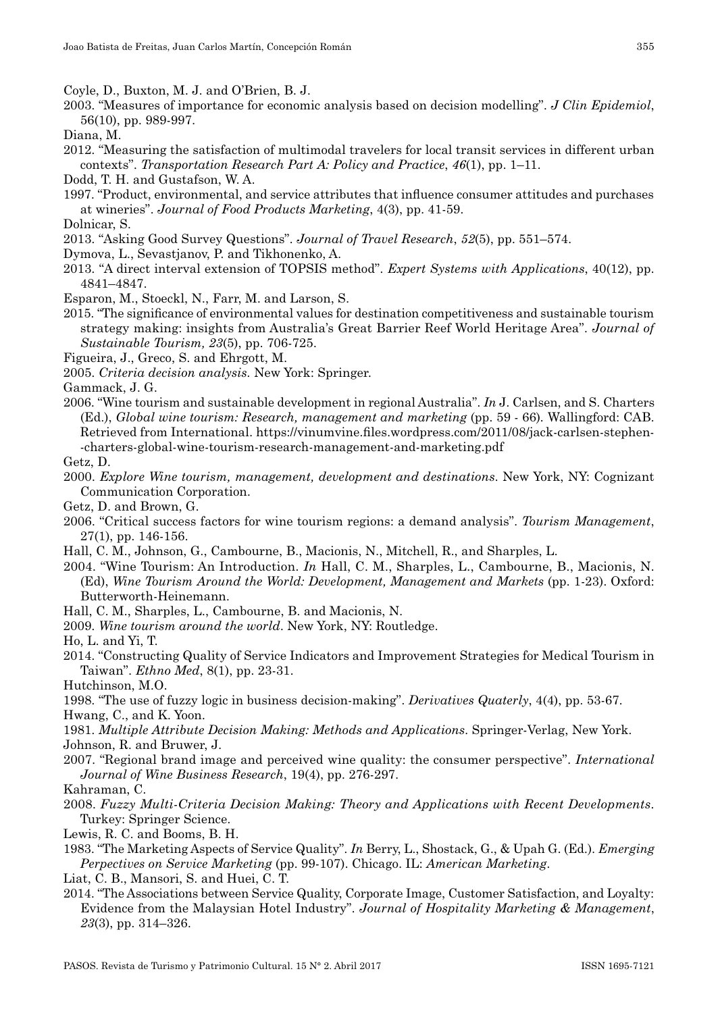Coyle, D., Buxton, M. J. and O'Brien, B. J.

- 2003. "Measures of importance for economic analysis based on decision modelling". *J Clin Epidemiol*, 56(10), pp. 989-997.
- Diana, M.
- 2012. "Measuring the satisfaction of multimodal travelers for local transit services in different urban contexts". *Transportation Research Part A: Policy and Practice*, *46*(1), pp. 1–11.
- Dodd, T. H. and Gustafson, W. A.
- 1997. "Product, environmental, and service attributes that influence consumer attitudes and purchases at wineries". *Journal of Food Products Marketing*, 4(3), pp. 41-59.
- Dolnicar, S.
- 2013. "Asking Good Survey Questions". *Journal of Travel Research*, *52*(5), pp. 551–574.
- Dymova, L., Sevastjanov, P. and Tikhonenko, A.
- 2013. "A direct interval extension of TOPSIS method". *Expert Systems with Applications*, 40(12), pp. 4841–4847.
- Esparon, M., Stoeckl, N., Farr, M. and Larson, S.
- 2015. "The significance of environmental values for destination competitiveness and sustainable tourism strategy making: insights from Australia's Great Barrier Reef World Heritage Area". *Journal of Sustainable Tourism, 23*(5), pp. 706-725.
- Figueira, J., Greco, S. and Ehrgott, M.
- 2005. *Criteria decision analysis.* New York: Springer.
- Gammack, J. G.
- 2006. "Wine tourism and sustainable development in regional Australia". *In* J. Carlsen, and S. Charters (Ed.), *Global wine tourism: Research, management and marketing* (pp. 59 - 66)*.* Wallingford: CAB. Retrieved from International. https://vinumvine.files.wordpress.com/2011/08/jack-carlsen-stephen--charters-global-wine-tourism-research-management-and-marketing.pdf
- Getz, D.
- 2000. *Explore Wine tourism, management, development and destinations*. New York, NY: Cognizant Communication Corporation.
- Getz, D. and Brown, G.
- 2006. "Critical success factors for wine tourism regions: a demand analysis". *Tourism Management*, 27(1), pp. 146-156.
- Hall, C. M., Johnson, G., Cambourne, B., Macionis, N., Mitchell, R., and Sharples, L.
- 2004. "Wine Tourism: An Introduction. *In* Hall, C. M., Sharples, L., Cambourne, B., Macionis, N. (Ed), *Wine Tourism Around the World: Development, Management and Markets* (pp. 1-23). Oxford: Butterworth-Heinemann.
- Hall, C. M., Sharples, L., Cambourne, B. and Macionis, N.
- 2009. *Wine tourism around the world*. New York, NY: Routledge.

Ho, L. and Yi, T.

- 2014. "Constructing Quality of Service Indicators and Improvement Strategies for Medical Tourism in Taiwan". *Ethno Med*, 8(1), pp. 23-31.
- Hutchinson, M.O.
- 1998. "The use of fuzzy logic in business decision-making". *Derivatives Quaterly*, 4(4), pp. 53-67.
- Hwang, C., and K. Yoon.
- 1981. *Multiple Attribute Decision Making: Methods and Applications*. Springer-Verlag, New York. Johnson, R. and Bruwer, J.
- 2007. "Regional brand image and perceived wine quality: the consumer perspective". *International Journal of Wine Business Research*, 19(4), pp. 276-297.
- Kahraman, C.
- 2008. *Fuzzy Multi-Criteria Decision Making: Theory and Applications with Recent Developments*. Turkey: Springer Science.
- Lewis, R. C. and Booms, B. H.
- 1983. "The Marketing Aspects of Service Quality". *In* Berry, L., Shostack, G., & Upah G. (Ed.). *Emerging Perpectives on Service Marketing* (pp. 99-107). Chicago. IL: *American Marketing*.
- Liat, C. B., Mansori, S. and Huei, C. T.
- 2014. "The Associations between Service Quality, Corporate Image, Customer Satisfaction, and Loyalty: Evidence from the Malaysian Hotel Industry". *Journal of Hospitality Marketing & Management*, *23*(3), pp. 314–326.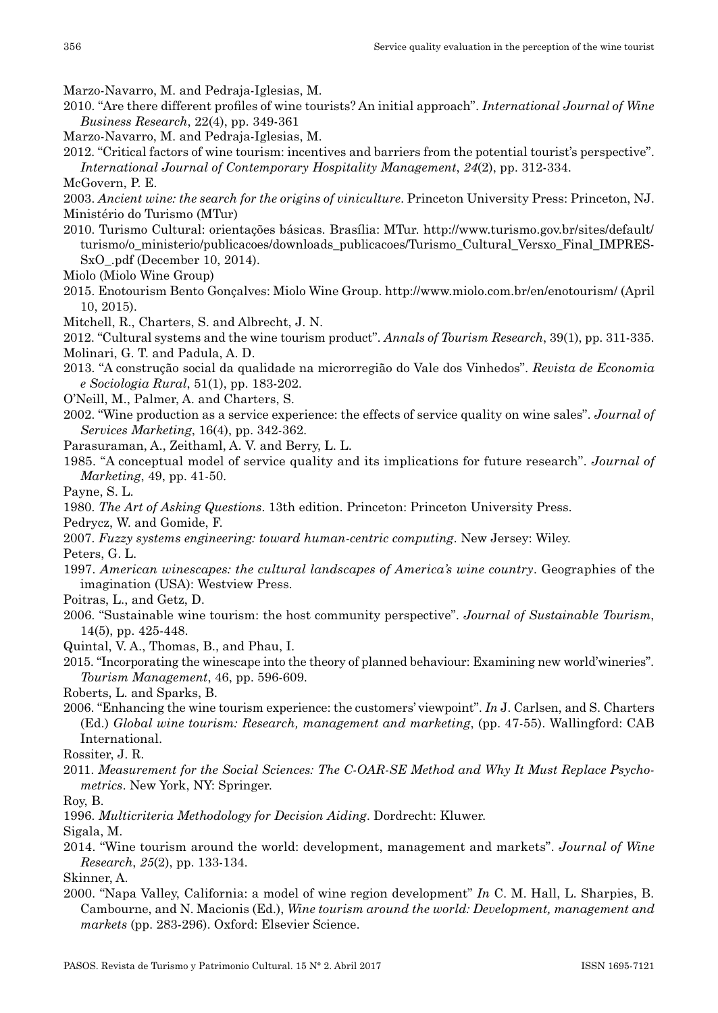- Marzo-Navarro, M. and Pedraja-Iglesias, M.
- 2010. "Are there different profiles of wine tourists? An initial approach". *International Journal of Wine Business Research*, 22(4), pp. 349-361
- Marzo-Navarro, M. and Pedraja-Iglesias, M.
- 2012. "Critical factors of wine tourism: incentives and barriers from the potential tourist's perspective". *International Journal of Contemporary Hospitality Management*, *24*(2), pp. 312-334.
- McGovern, P. E.
- 2003. *Ancient wine: the search for the origins of viniculture*. Princeton University Press: Princeton, NJ. Ministério do Turismo (MTur)
- 2010. Turismo Cultural: orientações básicas. Brasília: MTur. http://www.turismo.gov.br/sites/default/ turismo/o\_ministerio/publicacoes/downloads\_publicacoes/Turismo\_Cultural\_Versxo\_Final\_IMPRES-SxO\_.pdf (December 10, 2014).
- Miolo (Miolo Wine Group)
- 2015. Enotourism Bento Gonçalves: Miolo Wine Group. http://www.miolo.com.br/en/enotourism/ (April 10, 2015).
- Mitchell, R., Charters, S. and Albrecht, J. N.
- 2012. "Cultural systems and the wine tourism product". *Annals of Tourism Research*, 39(1), pp. 311-335. Molinari, G. T. and Padula, A. D.
- 2013. "A construção social da qualidade na microrregião do Vale dos Vinhedos". *Revista de Economia e Sociologia Rural*, 51(1), pp. 183-202.
- O'Neill, M., Palmer, A. and Charters, S.
- 2002. "Wine production as a service experience: the effects of service quality on wine sales". *Journal of Services Marketing*, 16(4), pp. 342-362.
- Parasuraman, A., Zeithaml, A. V. and Berry, L. L.
- 1985. "A conceptual model of service quality and its implications for future research". *Journal of Marketing*, 49, pp. 41-50.
- Payne, S. L.
- 1980. *The Art of Asking Questions*. 13th edition. Princeton: Princeton University Press.

Pedrycz, W. and Gomide, F.

2007. *Fuzzy systems engineering: toward human-centric computing*. New Jersey: Wiley.

Peters, G. L.

- 1997. *American winescapes: the cultural landscapes of America's wine country*. Geographies of the imagination (USA): Westview Press.
- Poitras, L., and Getz, D.
- 2006. "Sustainable wine tourism: the host community perspective". *Journal of Sustainable Tourism*, 14(5), pp. 425-448.
- Quintal, V. A., Thomas, B., and Phau, I.
- 2015. "Incorporating the winescape into the theory of planned behaviour: Examining new world'wineries". *Tourism Management*, 46, pp. 596-609.
- Roberts, L. and Sparks, B.
- 2006. "Enhancing the wine tourism experience: the customers' viewpoint". *In* J. Carlsen, and S. Charters (Ed.) *Global wine tourism: Research, management and marketing*, (pp. 47-55). Wallingford: CAB International.
- Rossiter, J. R.
- 2011. *Measurement for the Social Sciences: The C-OAR-SE Method and Why It Must Replace Psychometrics*. New York, NY: Springer.

Roy, B.

1996. *Multicriteria Methodology for Decision Aiding*. Dordrecht: Kluwer.

Sigala, M.

2014. "Wine tourism around the world: development, management and markets". *Journal of Wine Research*, *25*(2), pp. 133-134.

Skinner, A.

2000. "Napa Valley, California: a model of wine region development" *In* C. M. Hall, L. Sharpies, B. Cambourne, and N. Macionis (Ed.), *Wine tourism around the world: Development, management and markets* (pp. 283-296). Oxford: Elsevier Science.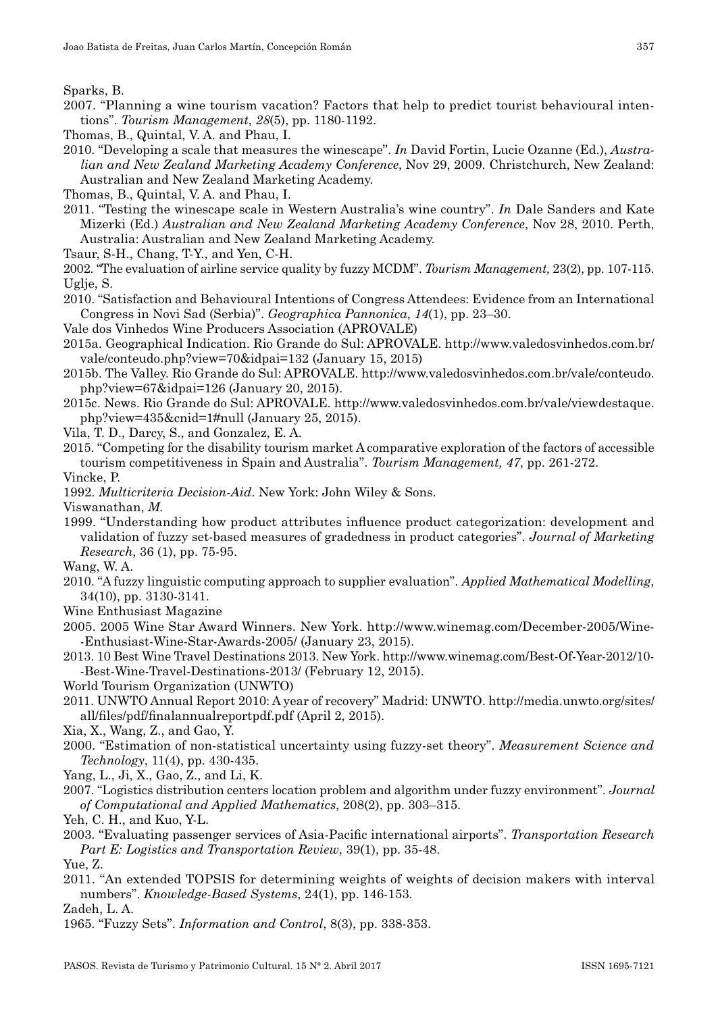Sparks, B.

- 2007. "Planning a wine tourism vacation? Factors that help to predict tourist behavioural inten‑ tions". *Tourism Management*, *28*(5), pp. 1180-1192.
- Thomas, B., Quintal, V. A. and Phau, I.
- 2010. "Developing a scale that measures the winescape". *In* David Fortin, Lucie Ozanne (Ed.), *Australian and New Zealand Marketing Academy Conference*, Nov 29, 2009. Christchurch, New Zealand: Australian and New Zealand Marketing Academy.

Thomas, B., Quintal, V. A. and Phau, I.

- 2011. "Testing the winescape scale in Western Australia's wine country". *In* Dale Sanders and Kate Mizerki (Ed.) *Australian and New Zealand Marketing Academy Conference*, Nov 28, 2010. Perth, Australia: Australian and New Zealand Marketing Academy.
- Tsaur, S-H., Chang, T-Y., and Yen, C-H.

2002. "The evaluation of airline service quality by fuzzy MCDM". *Tourism Management,* 23(2), pp. 107-115. Uglie, S.

- 2010. "Satisfaction and Behavioural Intentions of Congress Attendees: Evidence from an International Congress in Novi Sad (Serbia)". *Geographica Pannonica*, *14*(1), pp. 23–30.
- Vale dos Vinhedos Wine Producers Association (APROVALE)
- 2015a. Geographical Indication. Rio Grande do Sul: APROVALE. http://www.valedosvinhedos.com.br/ vale/conteudo.php?view=70&idpai=132 (January 15, 2015)
- 2015b. The Valley. Rio Grande do Sul: APROVALE. http://www.valedosvinhedos.com.br/vale/conteudo. php?view=67&idpai=126 (January 20, 2015).
- 2015c. News. Rio Grande do Sul: APROVALE. http://www.valedosvinhedos.com.br/vale/viewdestaque. php?view=435&cnid=1#null (January 25, 2015).
- Vila, T. D., Darcy, S., and Gonzalez, E. A.
- 2015. "Competing for the disability tourism market A comparative exploration of the factors of accessible tourism competitiveness in Spain and Australia". *Tourism Management, 47*, pp. 261-272.

Vincke, P.

1992. *Multicriteria Decision-Aid*. New York: John Wiley & Sons.

Viswanathan, *M.* 

1999. "Understanding how product attributes influence product categorization: development and validation of fuzzy set-based measures of gradedness in product categories". *Journal of Marketing Research*, 36 (1), pp. 75-95.

Wang, W. A.

- 2010. "A fuzzy linguistic computing approach to supplier evaluation". *Applied Mathematical Modelling*, 34(10), pp. 3130-3141.
- Wine Enthusiast Magazine
- 2005. 2005 Wine Star Award Winners. New York. http://www.winemag.com/December-2005/Wine‑ -Enthusiast-Wine-Star-Awards-2005/ (January 23, 2015).
- 2013. 10 Best Wine Travel Destinations 2013. New York. http://www.winemag.com/Best-Of-Year-2012/10‑ -Best-Wine-Travel-Destinations-2013/ (February 12, 2015).
- World Tourism Organization (UNWTO)
- 2011. UNWTO Annual Report 2010: A year of recovery" Madrid: UNWTO. http://media.unwto.org/sites/ all/files/pdf/finalannualreportpdf.pdf (April 2, 2015).
- Xia, X., Wang, Z., and Gao, Y.
- 2000. "Estimation of non-statistical uncertainty using fuzzy-set theory". *Measurement Science and Technology*, 11(4), pp. 430-435.
- Yang, L., Ji, X., Gao, Z., and Li, K.
- 2007. "Logistics distribution centers location problem and algorithm under fuzzy environment". *Journal of Computational and Applied Mathematics*, 208(2), pp. 303–315.

Yeh, C. H., and Kuo, Y-L.

2003. "Evaluating passenger services of Asia-Pacific international airports". *Transportation Research Part E: Logistics and Transportation Review*, 39(1), pp. 35-48.

Yue, Z.

2011. "An extended TOPSIS for determining weights of weights of decision makers with interval numbers". *Knowledge-Based Systems*, 24(1), pp. 146-153.

Zadeh, L. A.

1965. "Fuzzy Sets". *Information and Control*, 8(3), pp. 338-353.